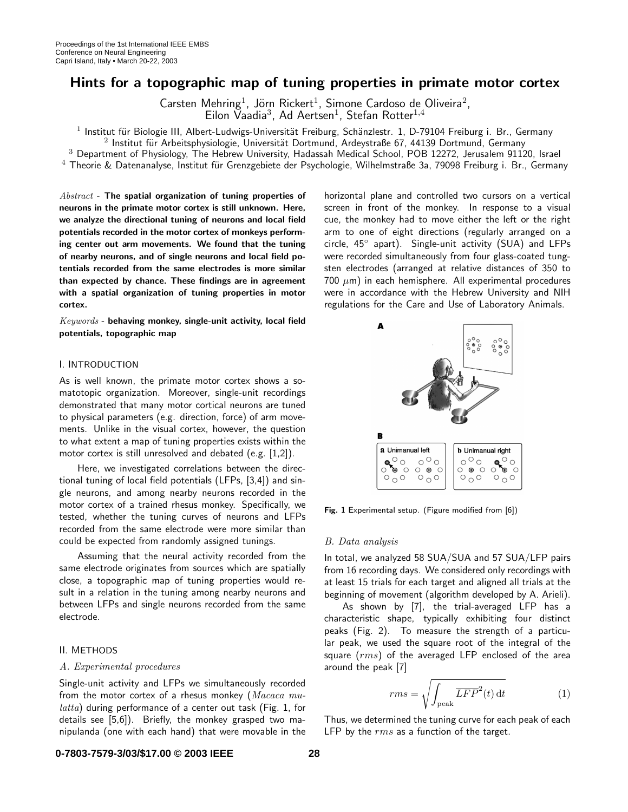# Hints for a topographic map of tuning properties in primate motor cortex

Carsten Mehring<sup>1</sup>, Jörn Rickert<sup>1</sup>, Simone Cardoso de Oliveira<sup>2</sup>,<br>Eilon Vaadia<sup>3</sup>, Ad Aertsen<sup>1</sup>, Stefan Rotter<sup>1,4</sup>

 $1$  Institut für Biologie III, Albert-Ludwigs-Universität Freiburg, Schänzlestr. 1, D-79104 Freiburg i. Br., Germany

 $2$  Institut für Arbeitsphysiologie, Universität Dortmund, Ardeystraße 67, 44139 Dortmund, Germany

<sup>3</sup> Department of Physiology, The Hebrew University, Hadassah Medical School, POB 12272, Jerusalem 91120, Israel

 $^4$  Theorie & Datenanalyse, Institut für Grenzgebiete der Psychologie, Wilhelmstraße 3a, 79098 Freiburg i. Br., Germany

 $Abstract$  - The spatial organization of tuning properties of neurons in the primate motor cortex is still unknown. Here, we analyze the directional tuning of neurons and local field potentials recorded in the motor cortex of monkeys performing center out arm movements. We found that the tuning of nearby neurons, and of single neurons and local field potentials recorded from the same electrodes is more similar than expected by chance. These findings are in agreement with a spatial organization of tuning properties in motor cortex.

Keywords - behaving monkey, single-unit activity, local field potentials, topographic map

## I. INTRODUCTION

As is well known, the primate motor cortex shows a somatotopic organization. Moreover, single-unit recordings demonstrated that many motor cortical neurons are tuned to physical parameters (e.g. direction, force) of arm movements. Unlike in the visual cortex, however, the question to what extent a map of tuning properties exists within the motor cortex is still unresolved and debated (e.g. [1,2]).

Here, we investigated correlations between the directional tuning of local field potentials (LFPs, [3,4]) and single neurons, and among nearby neurons recorded in the motor cortex of a trained rhesus monkey. Specifically, we tested, whether the tuning curves of neurons and LFPs recorded from the same electrode were more similar than could be expected from randomly assigned tunings.

Assuming that the neural activity recorded from the same electrode originates from sources which are spatially close, a topographic map of tuning properties would result in a relation in the tuning among nearby neurons and between LFPs and single neurons recorded from the same electrode.

### II. METHODS

## A. Experimental procedures

Single-unit activity and LFPs we simultaneously recorded from the motor cortex of a rhesus monkey ( $Macaca$   $mu$  $latta)$  during performance of a center out task (Fig. 1, for details see [5,6]). Briefly, the monkey grasped two manipulanda (one with each hand) that were movable in the horizontal plane and controlled two cursors on a vertical screen in front of the monkey. In response to a visual cue, the monkey had to move either the left or the right arm to one of eight directions (regularly arranged on a circle, 45◦ apart). Single-unit activity (SUA) and LFPs were recorded simultaneously from four glass-coated tungsten electrodes (arranged at relative distances of 350 to 700  $\mu$ m) in each hemisphere. All experimental procedures were in accordance with the Hebrew University and NIH regulations for the Care and Use of Laboratory Animals.



Fig. 1 Experimental setup. (Figure modified from [6])

#### B. Data analysis

In total, we analyzed 58 SUA/SUA and 57 SUA/LFP pairs from 16 recording days. We considered only recordings with at least 15 trials for each target and aligned all trials at the beginning of movement (algorithm developed by A. Arieli).

As shown by [7], the trial-averaged LFP has a characteristic shape, typically exhibiting four distinct peaks (Fig. 2). To measure the strength of a particular peak, we used the square root of the integral of the square  $(rms)$  of the averaged LFP enclosed of the area around the peak [7]

$$
rms = \sqrt{\int_{\text{peak}} \overline{LFP}^2(t) \, \mathrm{d}t} \tag{1}
$$

Thus, we determined the tuning curve for each peak of each LFP by the  $rms$  as a function of the target.

## **0-7803-7579-3/03/\$17.00 © 2003 IEEE 28**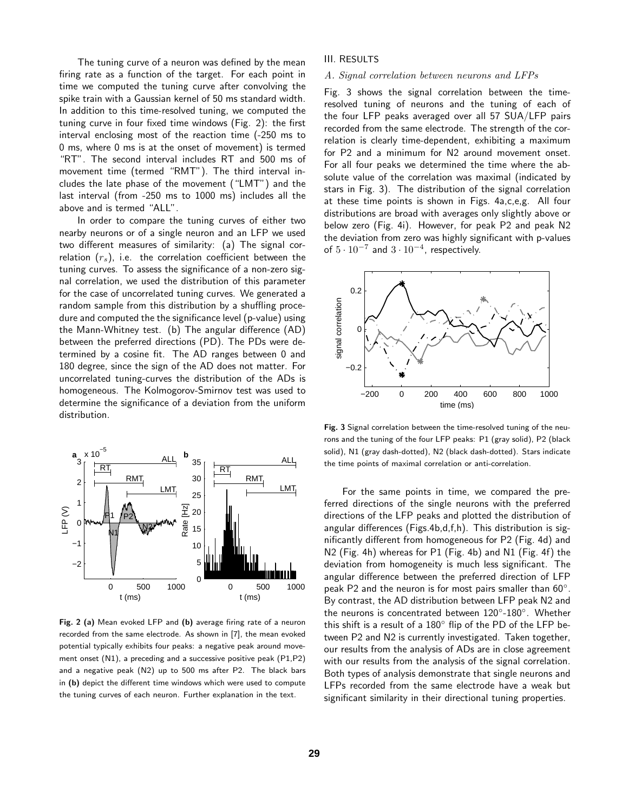The tuning curve of a neuron was defined by the mean firing rate as a function of the target. For each point in time we computed the tuning curve after convolving the spike train with a Gaussian kernel of 50 ms standard width. In addition to this time-resolved tuning, we computed the tuning curve in four fixed time windows (Fig. 2): the first interval enclosing most of the reaction time (-250 ms to 0 ms, where 0 ms is at the onset of movement) is termed "RT". The second interval includes RT and 500 ms of movement time (termed "RMT"). The third interval includes the late phase of the movement ("LMT") and the last interval (from -250 ms to 1000 ms) includes all the above and is termed "ALL".

In order to compare the tuning curves of either two nearby neurons or of a single neuron and an LFP we used two different measures of similarity: (a) The signal correlation  $(r_s)$ , i.e. the correlation coefficient between the tuning curves. To assess the significance of a non-zero signal correlation, we used the distribution of this parameter for the case of uncorrelated tuning curves. We generated a random sample from this distribution by a shuffling procedure and computed the the significance level (p-value) using the Mann-Whitney test. (b) The angular difference (AD) between the preferred directions (PD). The PDs were determined by a cosine fit. The AD ranges between 0 and 180 degree, since the sign of the AD does not matter. For uncorrelated tuning-curves the distribution of the ADs is homogeneous. The Kolmogorov-Smirnov test was used to determine the significance of a deviation from the uniform distribution.



Fig. 2 (a) Mean evoked LFP and (b) average firing rate of a neuron recorded from the same electrode. As shown in [7], the mean evoked potential typically exhibits four peaks: a negative peak around movement onset (N1), a preceding and a successive positive peak (P1,P2) and a negative peak (N2) up to 500 ms after P2. The black bars in (b) depict the different time windows which were used to compute the tuning curves of each neuron. Further explanation in the text.

## III. RESULTS

#### A. Signal correlation between neurons and LFPs

Fig. 3 shows the signal correlation between the timeresolved tuning of neurons and the tuning of each of the four LFP peaks averaged over all 57 SUA/LFP pairs recorded from the same electrode. The strength of the correlation is clearly time-dependent, exhibiting a maximum for P2 and a minimum for N2 around movement onset. For all four peaks we determined the time where the absolute value of the correlation was maximal (indicated by stars in Fig. 3). The distribution of the signal correlation at these time points is shown in Figs. 4a,c,e,g. All four distributions are broad with averages only slightly above or below zero (Fig. 4i). However, for peak P2 and peak N2 the deviation from zero was highly significant with p-values of  $5 \cdot 10^{-7}$  and  $3 \cdot 10^{-4}$ , respectively.



Fig. 3 Signal correlation between the time-resolved tuning of the neurons and the tuning of the four LFP peaks: P1 (gray solid), P2 (black solid), N1 (gray dash-dotted), N2 (black dash-dotted). Stars indicate the time points of maximal correlation or anti-correlation.

For the same points in time, we compared the preferred directions of the single neurons with the preferred directions of the LFP peaks and plotted the distribution of angular differences (Figs.4b,d,f,h). This distribution is significantly different from homogeneous for P2 (Fig. 4d) and N2 (Fig. 4h) whereas for P1 (Fig. 4b) and N1 (Fig. 4f) the deviation from homogeneity is much less significant. The angular difference between the preferred direction of LFP peak P2 and the neuron is for most pairs smaller than 60◦. By contrast, the AD distribution between LFP peak N2 and the neurons is concentrated between 120◦-180◦. Whether this shift is a result of a 180◦ flip of the PD of the LFP between P2 and N2 is currently investigated. Taken together, our results from the analysis of ADs are in close agreement with our results from the analysis of the signal correlation. Both types of analysis demonstrate that single neurons and LFPs recorded from the same electrode have a weak but significant similarity in their directional tuning properties.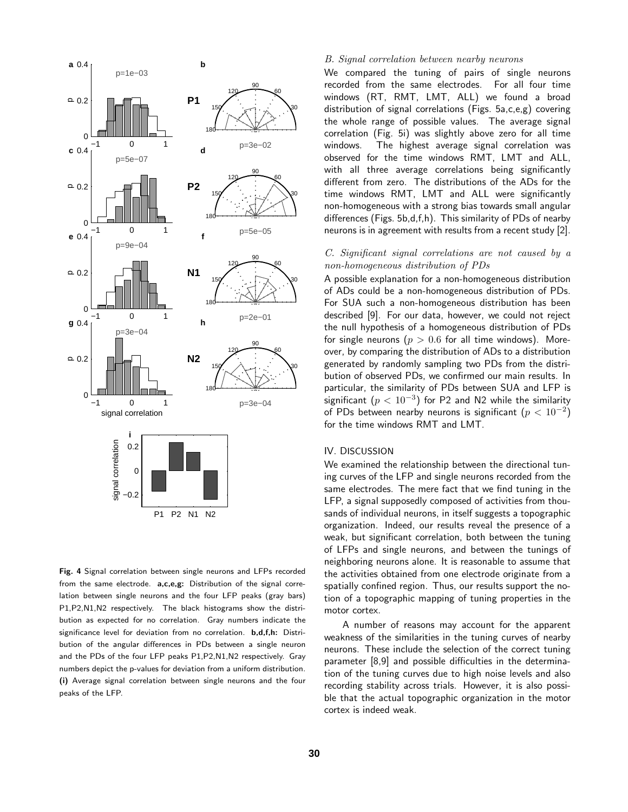

Fig. 4 Signal correlation between single neurons and LFPs recorded from the same electrode. a,c,e,g: Distribution of the signal correlation between single neurons and the four LFP peaks (gray bars) P1,P2,N1,N2 respectively. The black histograms show the distribution as expected for no correlation. Gray numbers indicate the significance level for deviation from no correlation. b,d,f,h: Distribution of the angular differences in PDs between a single neuron and the PDs of the four LFP peaks P1,P2,N1,N2 respectively. Gray numbers depict the p-values for deviation from a uniform distribution. (i) Average signal correlation between single neurons and the four peaks of the LFP.

# B. Signal correlation between nearby neurons

We compared the tuning of pairs of single neurons recorded from the same electrodes. For all four time windows (RT, RMT, LMT, ALL) we found a broad distribution of signal correlations (Figs. 5a,c,e,g) covering the whole range of possible values. The average signal correlation (Fig. 5i) was slightly above zero for all time windows. The highest average signal correlation was observed for the time windows RMT, LMT and ALL, with all three average correlations being significantly different from zero. The distributions of the ADs for the time windows RMT, LMT and ALL were significantly non-homogeneous with a strong bias towards small angular differences (Figs. 5b,d,f,h). This similarity of PDs of nearby neurons is in agreement with results from a recent study [2].

# C. Significant signal correlations are not caused by a non-homogeneous distribution of PDs

A possible explanation for a non-homogeneous distribution of ADs could be a non-homogeneous distribution of PDs. For SUA such a non-homogeneous distribution has been described [9]. For our data, however, we could not reject the null hypothesis of a homogeneous distribution of PDs for single neurons ( $p > 0.6$  for all time windows). Moreover, by comparing the distribution of ADs to a distribution generated by randomly sampling two PDs from the distribution of observed PDs, we confirmed our main results. In particular, the similarity of PDs between SUA and LFP is significant  $(p < 10^{-3})$  for P2 and N2 while the similarity of PDs between nearby neurons is significant  $(p < 10^{-2})$ for the time windows RMT and LMT.

# IV. DISCUSSION

We examined the relationship between the directional tuning curves of the LFP and single neurons recorded from the same electrodes. The mere fact that we find tuning in the LFP, a signal supposedly composed of activities from thousands of individual neurons, in itself suggests a topographic organization. Indeed, our results reveal the presence of a weak, but significant correlation, both between the tuning of LFPs and single neurons, and between the tunings of neighboring neurons alone. It is reasonable to assume that the activities obtained from one electrode originate from a spatially confined region. Thus, our results support the notion of a topographic mapping of tuning properties in the motor cortex.

A number of reasons may account for the apparent weakness of the similarities in the tuning curves of nearby neurons. These include the selection of the correct tuning parameter [8,9] and possible difficulties in the determination of the tuning curves due to high noise levels and also recording stability across trials. However, it is also possible that the actual topographic organization in the motor cortex is indeed weak.